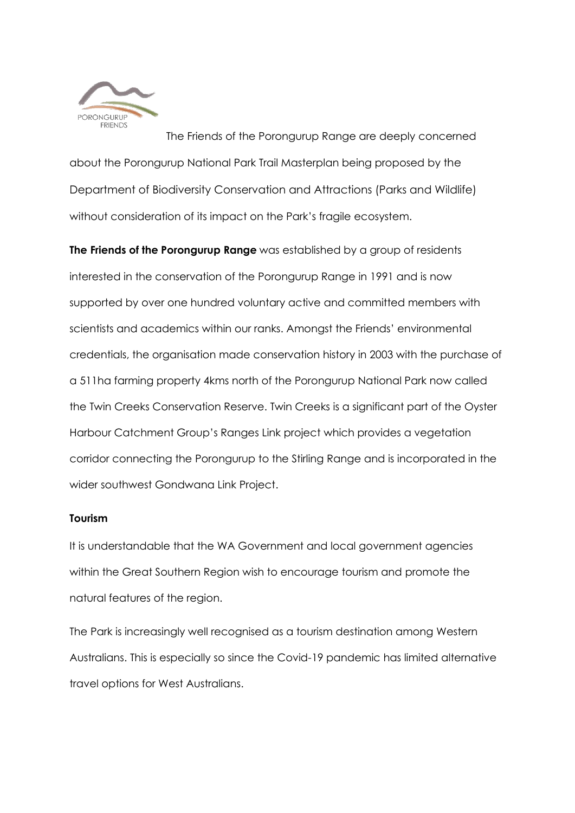

The Friends of the Porongurup Range are deeply concerned about the Porongurup National Park Trail Masterplan being proposed by the Department of Biodiversity Conservation and Attractions (Parks and Wildlife) without consideration of its impact on the Park's fragile ecosystem.

**The Friends of the Porongurup Range** was established by a group of residents interested in the conservation of the Porongurup Range in 1991 and is now supported by over one hundred voluntary active and committed members with scientists and academics within our ranks. Amongst the Friends' environmental credentials, the organisation made conservation history in 2003 with the purchase of a 511ha farming property 4kms north of the Porongurup National Park now called the Twin Creeks Conservation Reserve. Twin Creeks is a significant part of the Oyster Harbour Catchment Group's Ranges Link project which provides a vegetation corridor connecting the Porongurup to the Stirling Range and is incorporated in the wider southwest Gondwana Link Project.

## **Tourism**

It is understandable that the WA Government and local government agencies within the Great Southern Region wish to encourage tourism and promote the natural features of the region.

The Park is increasingly well recognised as a tourism destination among Western Australians. This is especially so since the Covid-19 pandemic has limited alternative travel options for West Australians.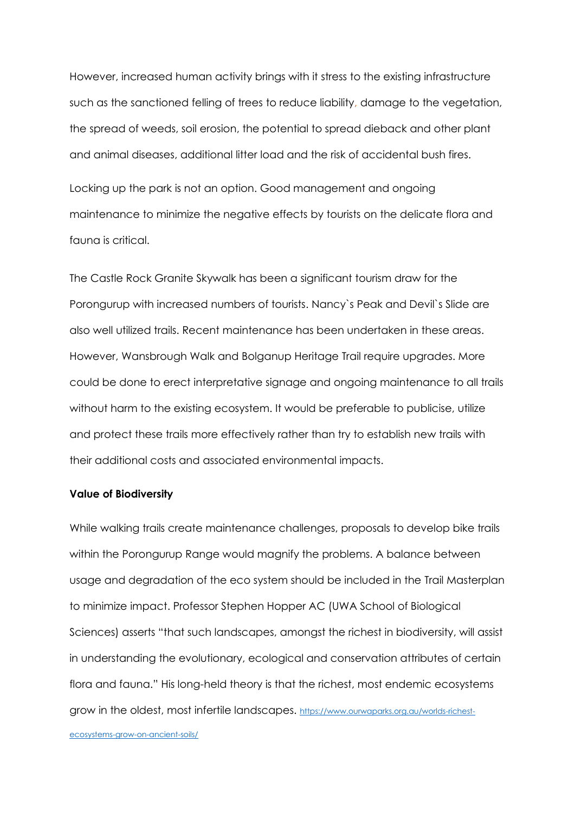However, increased human activity brings with it stress to the existing infrastructure such as the sanctioned felling of trees to reduce liability, damage to the vegetation, the spread of weeds, soil erosion, the potential to spread dieback and other plant and animal diseases, additional litter load and the risk of accidental bush fires.

Locking up the park is not an option. Good management and ongoing maintenance to minimize the negative effects by tourists on the delicate flora and fauna is critical.

The Castle Rock Granite Skywalk has been a significant tourism draw for the Porongurup with increased numbers of tourists. Nancy`s Peak and Devil`s Slide are also well utilized trails. Recent maintenance has been undertaken in these areas. However, Wansbrough Walk and Bolganup Heritage Trail require upgrades. More could be done to erect interpretative signage and ongoing maintenance to all trails without harm to the existing ecosystem. It would be preferable to publicise, utilize and protect these trails more effectively rather than try to establish new trails with their additional costs and associated environmental impacts.

#### **Value of Biodiversity**

While walking trails create maintenance challenges, proposals to develop bike trails within the Porongurup Range would magnify the problems. A balance between usage and degradation of the eco system should be included in the Trail Masterplan to minimize impact. Professor Stephen Hopper AC (UWA School of Biological Sciences) asserts "that such landscapes, amongst the richest in biodiversity, will assist in understanding the evolutionary, ecological and conservation attributes of certain flora and fauna." His long-held theory is that the richest, most endemic ecosystems grow in the oldest, most infertile landscapes. [https://www.ourwaparks.org.au/worlds-richest-](https://www.ourwaparks.org.au/worlds-richest-ecosystems-grow-on-ancient-soils/)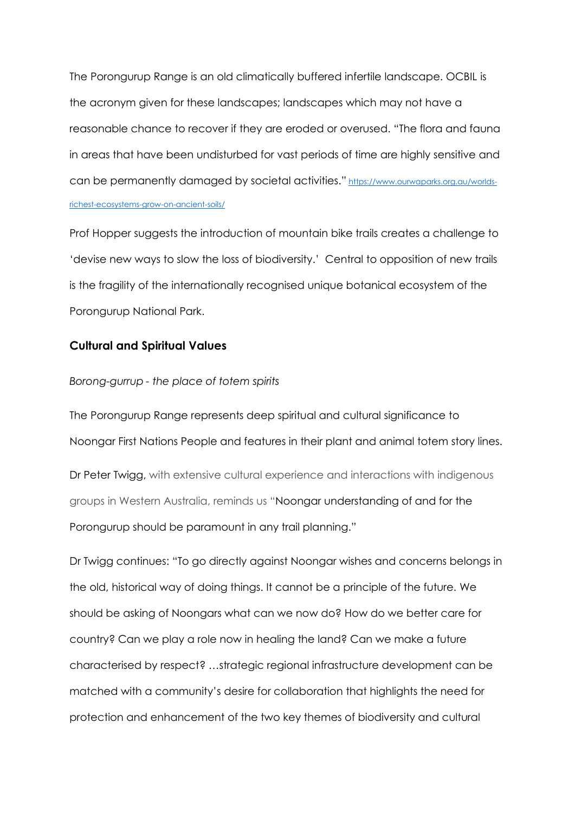The Porongurup Range is an old climatically buffered infertile landscape. OCBIL is the acronym given for these landscapes; landscapes which may not have a reasonable chance to recover if they are eroded or overused. "The flora and fauna in areas that have been undisturbed for vast periods of time are highly sensitive and can be permanently damaged by societal activities." [https://www.ourwaparks.org.au/worlds](https://www.ourwaparks.org.au/worlds-richest-ecosystems-grow-on-ancient-soils/)[richest-ecosystems-grow-on-ancient-soils/](https://www.ourwaparks.org.au/worlds-richest-ecosystems-grow-on-ancient-soils/)

Prof Hopper suggests the introduction of mountain bike trails creates a challenge to 'devise new ways to slow the loss of biodiversity.' Central to opposition of new trails is the fragility of the internationally recognised unique botanical ecosystem of the Porongurup National Park.

## **Cultural and Spiritual Values**

#### *Borong-gurrup - the place of totem spirits*

The Porongurup Range represents deep spiritual and cultural significance to Noongar First Nations People and features in their plant and animal totem story lines.

Dr Peter Twigg, with extensive cultural experience and interactions with indigenous groups in Western Australia, reminds us "Noongar understanding of and for the Porongurup should be paramount in any trail planning."

Dr Twigg continues: "To go directly against Noongar wishes and concerns belongs in the old, historical way of doing things. It cannot be a principle of the future. We should be asking of Noongars what can we now do? How do we better care for country? Can we play a role now in healing the land? Can we make a future characterised by respect? …strategic regional infrastructure development can be matched with a community's desire for collaboration that highlights the need for protection and enhancement of the two key themes of biodiversity and cultural